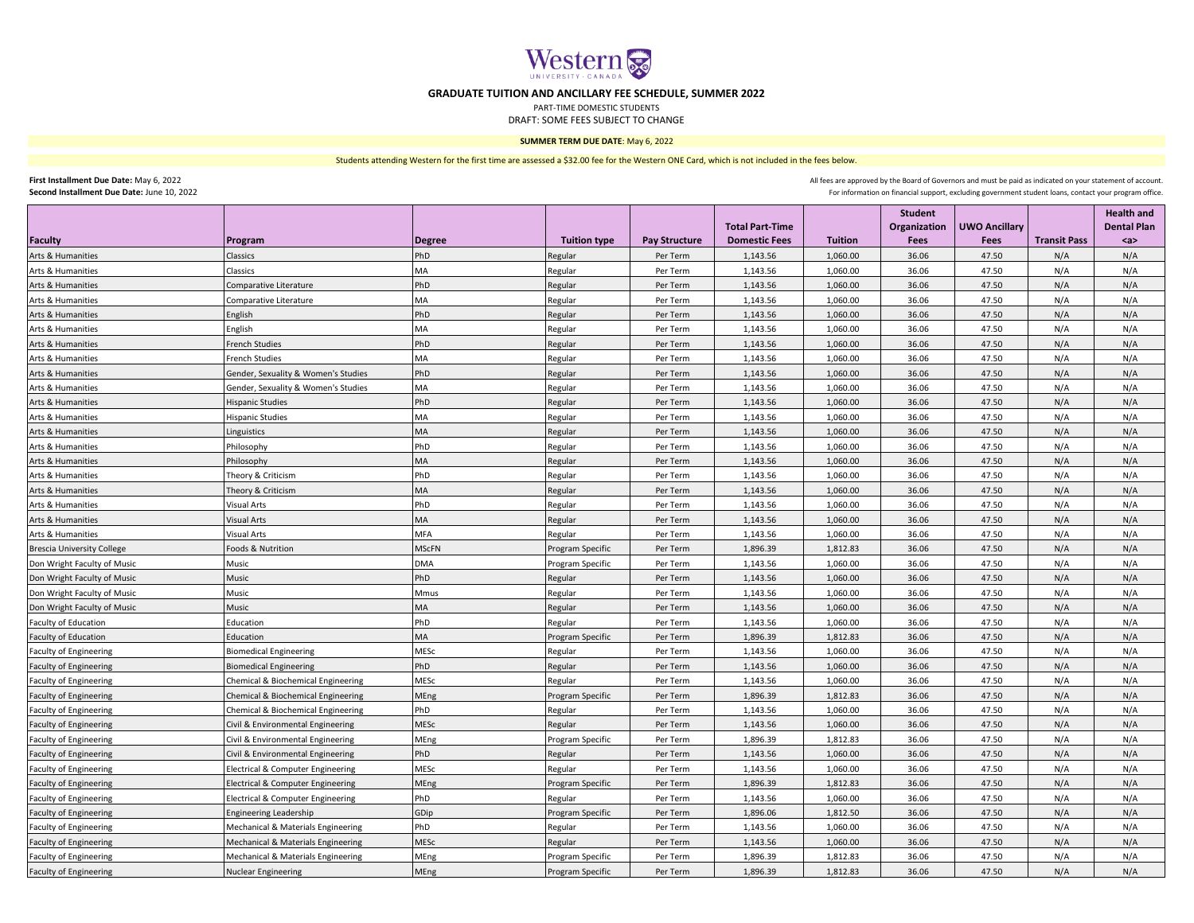

## **GRADUATE TUITION AND ANCILLARY FEE SCHEDULE, SUMMER 2022**

PART-TIME DOMESTIC STUDENTS

DRAFT: SOME FEES SUBJECT TO CHANGE

## **SUMMER TERM DUE DATE**: May 6, 2022

Students attending Western for the first time are assessed a \$32.00 fee for the Western ONE Card, which is not included in the fees below.

**First Installment Due Date:** May 6, 2022 **Second Installment Due Date:** June 10, 2022 All fees are approved by the Board of Governors and must be paid as indicated on your statement of account. For information on financial support, excluding government student loans, contact your program office.

|                                   |                                              |               |                     |                      |                                                |                | <b>Student</b>       |                              |                     | <b>Health and</b>         |
|-----------------------------------|----------------------------------------------|---------------|---------------------|----------------------|------------------------------------------------|----------------|----------------------|------------------------------|---------------------|---------------------------|
| <b>Faculty</b>                    | Program                                      | <b>Degree</b> | <b>Tuition type</b> | <b>Pay Structure</b> | <b>Total Part-Time</b><br><b>Domestic Fees</b> | <b>Tuition</b> | Organization<br>Fees | <b>UWO Ancillary</b><br>Fees | <b>Transit Pass</b> | <b>Dental Plan</b><br>$a$ |
| Arts & Humanities                 | Classics                                     | PhD           | Regular             | Per Term             | 1,143.56                                       | 1,060.00       | 36.06                | 47.50                        | N/A                 | N/A                       |
| Arts & Humanities                 | Classics                                     | МA            | Regular             | Per Term             | 1,143.56                                       | 1,060.00       | 36.06                | 47.50                        | N/A                 | N/A                       |
| Arts & Humanities                 | Comparative Literature                       | PhD           | Regular             | Per Term             | 1,143.56                                       | 1,060.00       | 36.06                | 47.50                        | N/A                 | N/A                       |
| Arts & Humanities                 | Comparative Literature                       | MA            | Regular             | Per Term             | 1,143.56                                       | 1,060.00       | 36.06                | 47.50                        | N/A                 | N/A                       |
| Arts & Humanities                 | English                                      | PhD           | Regular             | Per Term             | 1,143.56                                       | 1,060.00       | 36.06                | 47.50                        | N/A                 | N/A                       |
| Arts & Humanities                 | English                                      | MA            | Regular             | Per Term             | 1,143.56                                       | 1,060.00       | 36.06                | 47.50                        | N/A                 | N/A                       |
| Arts & Humanities                 | French Studies                               | PhD           | Regular             | Per Term             | 1,143.56                                       | 1,060.00       | 36.06                | 47.50                        | N/A                 | N/A                       |
| Arts & Humanities                 | <b>French Studies</b>                        | MA            | Regular             | Per Term             | 1,143.56                                       | 1,060.00       | 36.06                | 47.50                        | N/A                 | N/A                       |
| Arts & Humanities                 | Gender, Sexuality & Women's Studies          | PhD           | Regular             | Per Term             | 1,143.56                                       | 1,060.00       | 36.06                | 47.50                        | N/A                 | N/A                       |
| Arts & Humanities                 | Gender, Sexuality & Women's Studies          | MA            | Regular             | Per Term             | 1,143.56                                       | 1,060.00       | 36.06                | 47.50                        | N/A                 | N/A                       |
| Arts & Humanities                 | Hispanic Studies                             | PhD           | Regular             | Per Term             | 1,143.56                                       | 1,060.00       | 36.06                | 47.50                        | N/A                 | N/A                       |
| Arts & Humanities                 | Hispanic Studies                             | МA            | Regular             | Per Term             | 1,143.56                                       | 1,060.00       | 36.06                | 47.50                        | N/A                 | N/A                       |
| Arts & Humanities                 | Linguistics                                  | MA            | Regular             | Per Term             | 1,143.56                                       | 1,060.00       | 36.06                | 47.50                        | N/A                 | N/A                       |
| Arts & Humanities                 | Philosophy                                   | PhD           | Regular             | Per Term             | 1,143.56                                       | 1,060.00       | 36.06                | 47.50                        | N/A                 | N/A                       |
| Arts & Humanities                 | Philosophy                                   | ИA            | Regular             | Per Term             | 1,143.56                                       | 1,060.00       | 36.06                | 47.50                        | N/A                 | N/A                       |
| Arts & Humanities                 | Theory & Criticism                           | PhD           | Regular             | Per Term             | 1,143.56                                       | 1,060.00       | 36.06                | 47.50                        | N/A                 | N/A                       |
| Arts & Humanities                 | Theory & Criticism                           | MA            | Regular             | Per Term             | 1,143.56                                       | 1,060.00       | 36.06                | 47.50                        | N/A                 | N/A                       |
| Arts & Humanities                 | <b>Visual Arts</b>                           | PhD           | Regular             | Per Term             | 1,143.56                                       | 1,060.00       | 36.06                | 47.50                        | N/A                 | N/A                       |
| Arts & Humanities                 | Visual Arts                                  | MA            | Regular             | Per Term             | 1,143.56                                       | 1,060.00       | 36.06                | 47.50                        | N/A                 | N/A                       |
| Arts & Humanities                 | Visual Arts                                  | MFA           | Regular             | Per Term             | 1,143.56                                       | 1,060.00       | 36.06                | 47.50                        | N/A                 | N/A                       |
| <b>Brescia University College</b> | Foods & Nutrition                            | MScFN         | Program Specific    | Per Term             | 1,896.39                                       | 1,812.83       | 36.06                | 47.50                        | N/A                 | N/A                       |
| Don Wright Faculty of Music       | Music                                        | DMA           | Program Specific    | Per Term             | 1,143.56                                       | 1,060.00       | 36.06                | 47.50                        | N/A                 | N/A                       |
| Don Wright Faculty of Music       | Music                                        | PhD           | Regular             | Per Term             | 1,143.56                                       | 1,060.00       | 36.06                | 47.50                        | N/A                 | N/A                       |
| Don Wright Faculty of Music       | Music                                        | Mmus          | Regular             | Per Term             | 1,143.56                                       | 1,060.00       | 36.06                | 47.50                        | N/A                 | N/A                       |
| Don Wright Faculty of Music       | Music                                        | MA            | Regular             | Per Term             | 1,143.56                                       | 1,060.00       | 36.06                | 47.50                        | N/A                 | N/A                       |
| Faculty of Education              | Education                                    | PhD           | Regular             | Per Term             | 1,143.56                                       | 1,060.00       | 36.06                | 47.50                        | N/A                 | N/A                       |
| Faculty of Education              | Education                                    | MA            | Program Specific    | Per Term             | 1,896.39                                       | 1,812.83       | 36.06                | 47.50                        | N/A                 | N/A                       |
| <b>Faculty of Engineering</b>     | <b>Biomedical Engineering</b>                | MESc          | Regular             | Per Term             | 1,143.56                                       | 1,060.00       | 36.06                | 47.50                        | N/A                 | N/A                       |
| Faculty of Engineering            | <b>Biomedical Engineering</b>                | PhD           | Regular             | Per Term             | 1,143.56                                       | 1,060.00       | 36.06                | 47.50                        | N/A                 | N/A                       |
| <b>Faculty of Engineering</b>     | Chemical & Biochemical Engineering           | MESc          | Regular             | Per Term             | 1,143.56                                       | 1,060.00       | 36.06                | 47.50                        | N/A                 | N/A                       |
| <b>Faculty of Engineering</b>     | Chemical & Biochemical Engineering           | MEng          | Program Specific    | Per Term             | 1,896.39                                       | 1,812.83       | 36.06                | 47.50                        | N/A                 | N/A                       |
| <b>Faculty of Engineering</b>     | Chemical & Biochemical Engineering           | PhD           | Regular             | Per Term             | 1,143.56                                       | 1,060.00       | 36.06                | 47.50                        | N/A                 | N/A                       |
| Faculty of Engineering            | Civil & Environmental Engineering            | MESc          | Regular             | Per Term             | 1,143.56                                       | 1,060.00       | 36.06                | 47.50                        | N/A                 | N/A                       |
| <b>Faculty of Engineering</b>     | Civil & Environmental Engineering            | MEng          | Program Specific    | Per Term             | 1,896.39                                       | 1,812.83       | 36.06                | 47.50                        | N/A                 | N/A                       |
| <b>Faculty of Engineering</b>     | Civil & Environmental Engineering            | PhD           | Regular             | Per Term             | 1,143.56                                       | 1,060.00       | 36.06                | 47.50                        | N/A                 | N/A                       |
| <b>Faculty of Engineering</b>     | <b>Electrical &amp; Computer Engineering</b> | MESc          | Regular             | Per Term             | 1,143.56                                       | 1,060.00       | 36.06                | 47.50                        | N/A                 | N/A                       |
| <b>Faculty of Engineering</b>     | <b>Electrical &amp; Computer Engineering</b> | MEng          | Program Specific    | Per Term             | 1,896.39                                       | 1,812.83       | 36.06                | 47.50                        | N/A                 | N/A                       |
| <b>Faculty of Engineering</b>     | <b>Electrical &amp; Computer Engineering</b> | PhD           | Regular             | Per Term             | 1,143.56                                       | 1,060.00       | 36.06                | 47.50                        | N/A                 | N/A                       |
| <b>Faculty of Engineering</b>     | <b>Engineering Leadership</b>                | GDip          | Program Specific    | Per Term             | 1,896.06                                       | 1,812.50       | 36.06                | 47.50                        | N/A                 | N/A                       |
| <b>Faculty of Engineering</b>     | Mechanical & Materials Engineering           | PhD           | Regular             | Per Term             | 1,143.56                                       | 1,060.00       | 36.06                | 47.50                        | N/A                 | N/A                       |
| <b>Faculty of Engineering</b>     | Mechanical & Materials Engineering           | MESc          | Regular             | Per Term             | 1,143.56                                       | 1,060.00       | 36.06                | 47.50                        | N/A                 | N/A                       |
| <b>Faculty of Engineering</b>     | Mechanical & Materials Engineering           | MEng          | Program Specific    | Per Term             | 1,896.39                                       | 1,812.83       | 36.06                | 47.50                        | N/A                 | N/A                       |
| Faculty of Engineering            | <b>Nuclear Engineering</b>                   | MEng          | Program Specific    | Per Term             | 1,896.39                                       | 1,812.83       | 36.06                | 47.50                        | N/A                 | N/A                       |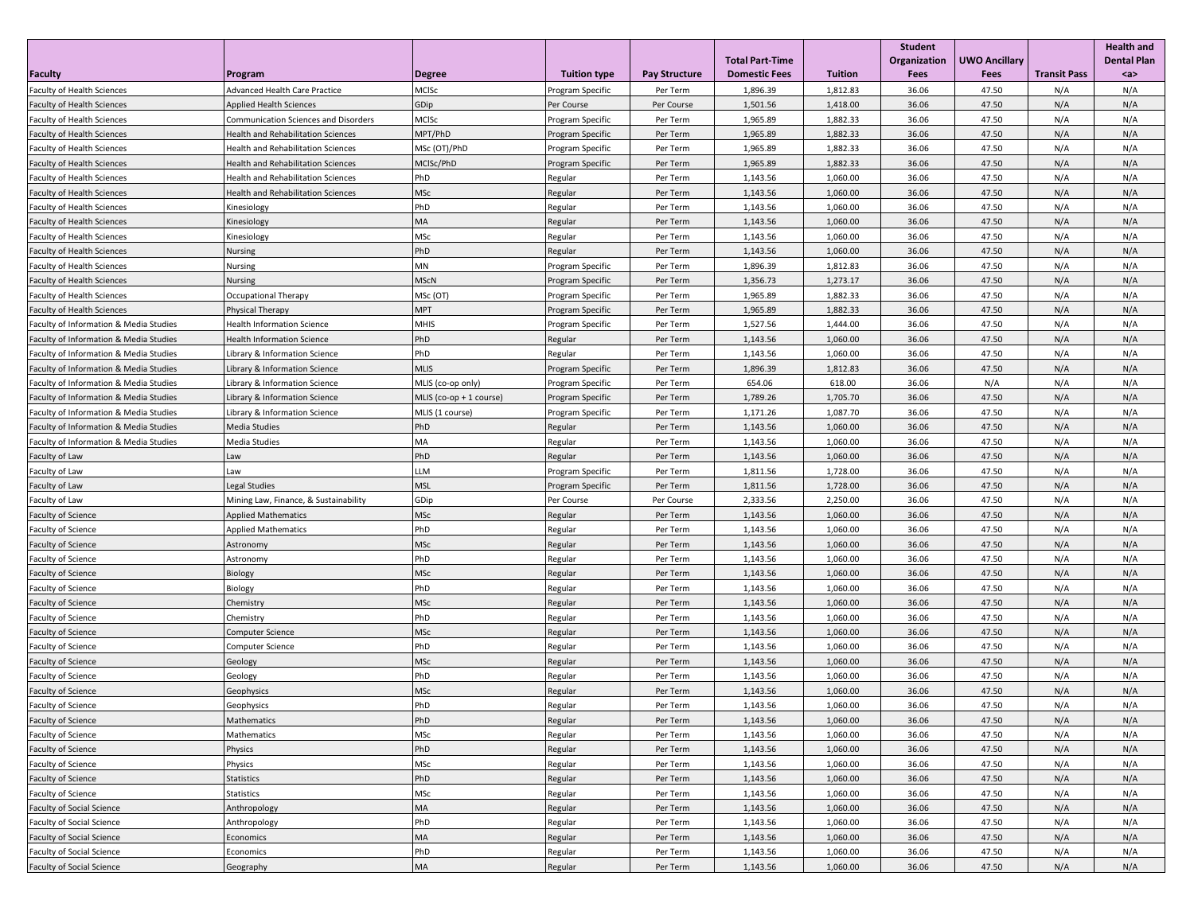|                                        |                                             |                         |                     |                      | <b>Total Part-Time</b> |                | Student<br>Organization | <b>UWO Ancillary</b> |                     | <b>Health and</b><br><b>Dental Plan</b> |
|----------------------------------------|---------------------------------------------|-------------------------|---------------------|----------------------|------------------------|----------------|-------------------------|----------------------|---------------------|-----------------------------------------|
| <b>Faculty</b>                         | Program                                     | <b>Degree</b>           | <b>Tuition type</b> | <b>Pay Structure</b> | <b>Domestic Fees</b>   | <b>Tuition</b> | Fees                    | Fees                 | <b>Transit Pass</b> | $a$                                     |
| Faculty of Health Sciences             | Advanced Health Care Practice               | MCISc                   | Program Specific    | Per Term             | 1,896.39               | 1,812.83       | 36.06                   | 47.50                | N/A                 | N/A                                     |
| <b>Faculty of Health Sciences</b>      | <b>Applied Health Sciences</b>              | GDip                    | Per Course          | Per Course           | 1,501.56               | 1,418.00       | 36.06                   | 47.50                | N/A                 | N/A                                     |
| <b>Faculty of Health Sciences</b>      | <b>Communication Sciences and Disorders</b> | MCISc                   | Program Specific    | Per Term             | 1,965.89               | 1,882.33       | 36.06                   | 47.50                | N/A                 | N/A                                     |
| Faculty of Health Sciences             | Health and Rehabilitation Sciences          | MPT/PhD                 | Program Specific    | Per Term             | 1,965.89               | 1,882.33       | 36.06                   | 47.50                | N/A                 | N/A                                     |
| <b>Faculty of Health Sciences</b>      | <b>Health and Rehabilitation Sciences</b>   | MSc (OT)/PhD            | Program Specific    | Per Term             | 1,965.89               | 1,882.33       | 36.06                   | 47.50                | N/A                 | N/A                                     |
| <b>Faculty of Health Sciences</b>      | Health and Rehabilitation Sciences          | MCISc/PhD               | Program Specific    | Per Term             | 1,965.89               | 1,882.33       | 36.06                   | 47.50                | N/A                 | N/A                                     |
| <b>Faculty of Health Sciences</b>      | <b>Health and Rehabilitation Sciences</b>   | PhD                     | Regular             | Per Term             | 1,143.56               | 1,060.00       | 36.06                   | 47.50                | N/A                 | N/A                                     |
| <b>Faculty of Health Sciences</b>      | Health and Rehabilitation Sciences          | VISc                    | Regular             | Per Term             | 1,143.56               | 1,060.00       | 36.06                   | 47.50                | N/A                 | N/A                                     |
| <b>Faculty of Health Sciences</b>      | Kinesiology                                 | PhD                     | Regular             | Per Term             | 1,143.56               | 1,060.00       | 36.06                   | 47.50                | N/A                 | N/A                                     |
| <b>Faculty of Health Sciences</b>      | Kinesiology                                 | MA                      | Regular             | Per Term             | 1,143.56               | 1,060.00       | 36.06                   | 47.50                | N/A                 | N/A                                     |
| <b>Faculty of Health Sciences</b>      | Kinesiology                                 | MSc                     | Regular             | Per Term             | 1,143.56               | 1,060.00       | 36.06                   | 47.50                | N/A                 | N/A                                     |
| <b>Faculty of Health Sciences</b>      | Nursing                                     | PhD                     | Regular             | Per Term             | 1,143.56               | 1,060.00       | 36.06                   | 47.50                | N/A                 | N/A                                     |
| Faculty of Health Sciences             | Nursing                                     | ΜN                      | Program Specific    | Per Term             | 1,896.39               | 1,812.83       | 36.06                   | 47.50                | N/A                 | N/A                                     |
| <b>Faculty of Health Sciences</b>      | Nursing                                     | <b>MScN</b>             | Program Specific    | Per Term             | 1,356.73               | 1,273.17       | 36.06                   | 47.50                | N/A                 | N/A                                     |
| <b>Faculty of Health Sciences</b>      | Occupational Therapy                        | MSc (OT)                | Program Specific    | Per Term             | 1,965.89               | 1,882.33       | 36.06                   | 47.50                | N/A                 | N/A                                     |
| <b>Faculty of Health Sciences</b>      | Physical Therapy                            | MPT                     | Program Specific    | Per Term             | 1,965.89               | 1,882.33       | 36.06                   | 47.50                | N/A                 | N/A                                     |
| Faculty of Information & Media Studies | Health Information Science                  | MHIS                    | Program Specific    | Per Term             | 1,527.56               | 1,444.00       | 36.06                   | 47.50                | N/A                 | N/A                                     |
| Faculty of Information & Media Studies | <b>Health Information Science</b>           | PhD                     | Regular             | Per Term             | 1,143.56               | 1,060.00       | 36.06                   | 47.50                | N/A                 | N/A                                     |
| Faculty of Information & Media Studies | Library & Information Science               | PhD                     | Regular             | Per Term             | 1,143.56               | 1,060.00       | 36.06                   | 47.50                | N/A                 | N/A                                     |
| Faculty of Information & Media Studies | Library & Information Science               | <b>MLIS</b>             | Program Specific    | Per Term             | 1,896.39               | 1,812.83       | 36.06                   | 47.50                | N/A                 | N/A                                     |
| Faculty of Information & Media Studies | Library & Information Science               | MLIS (co-op only)       | Program Specific    | Per Term             | 654.06                 | 618.00         | 36.06                   | N/A                  | N/A                 | N/A                                     |
| Faculty of Information & Media Studies | Library & Information Science               | MLIS (co-op + 1 course) | Program Specific    | Per Term             | 1,789.26               | 1,705.70       | 36.06                   | 47.50                | N/A                 | N/A                                     |
| Faculty of Information & Media Studies | Library & Information Science               | MLIS (1 course)         | Program Specific    | Per Term             | 1,171.26               | 1,087.70       | 36.06                   | 47.50                | N/A                 | N/A                                     |
| Faculty of Information & Media Studies | Media Studies                               | PhD                     | Regular             | Per Term             | 1,143.56               | 1,060.00       | 36.06                   | 47.50                | N/A                 | N/A                                     |
| Faculty of Information & Media Studies | Media Studies                               | МA                      | Regular             | Per Term             | 1,143.56               | 1,060.00       | 36.06                   | 47.50                | N/A                 | N/A                                     |
| Faculty of Law                         | Law                                         | PhD                     | Regular             | Per Term             | 1,143.56               | 1,060.00       | 36.06                   | 47.50                | N/A                 | N/A                                     |
| Faculty of Law                         | Law                                         | LM.                     | Program Specific    | Per Term             | 1,811.56               | 1,728.00       | 36.06                   | 47.50                | N/A                 | N/A                                     |
| Faculty of Law                         | Legal Studies                               | MSL                     | Program Specific    | Per Term             | 1,811.56               | 1,728.00       | 36.06                   | 47.50                | N/A                 | N/A                                     |
| Faculty of Law                         | Mining Law, Finance, & Sustainability       | GDip                    | Per Course          | Per Course           | 2,333.56               | 2,250.00       | 36.06                   | 47.50                | N/A                 | N/A                                     |
| <b>Faculty of Science</b>              | <b>Applied Mathematics</b>                  | MSc                     | Regular             | Per Term             | 1,143.56               | 1,060.00       | 36.06                   | 47.50                | N/A                 | N/A                                     |
| Faculty of Science                     | <b>Applied Mathematics</b>                  | PhD                     | Regular             | Per Term             | 1,143.56               | 1,060.00       | 36.06                   | 47.50                | N/A                 | N/A                                     |
| <b>Faculty of Science</b>              | Astronomy                                   | MSc                     | Regular             | Per Term             | 1,143.56               | 1,060.00       | 36.06                   | 47.50                | N/A                 | N/A                                     |
| Faculty of Science                     | Astronomy                                   | PhD                     | Regular             | Per Term             | 1,143.56               | 1,060.00       | 36.06                   | 47.50                | N/A                 | N/A                                     |
| <b>Faculty of Science</b>              | Biology                                     | MSc                     | Regular             | Per Term             | 1,143.56               | 1,060.00       | 36.06                   | 47.50                | N/A                 | N/A                                     |
| <b>Faculty of Science</b>              | Biology                                     | PhD                     | Regular             | Per Term             | 1,143.56               | 1,060.00       | 36.06                   | 47.50                | N/A                 | N/A                                     |
| <b>Faculty of Science</b>              | Chemistry                                   | <b>MSc</b>              | Regular             | Per Term             | 1,143.56               | 1,060.00       | 36.06                   | 47.50                | N/A                 | N/A                                     |
| Faculty of Science                     | Chemistry                                   | PhD                     | Regular             | Per Term             | 1,143.56               | 1,060.00       | 36.06                   | 47.50                | N/A                 | N/A                                     |
| Faculty of Science                     | <b>Computer Science</b>                     | MSc                     | Regular             | Per Term             | 1,143.56               | 1,060.00       | 36.06                   | 47.50                | N/A                 | N/A                                     |
| Faculty of Science                     | Computer Science                            | PhD                     | Regular             | Per Term             | 1,143.56               | 1,060.00       | 36.06                   | 47.50                | N/A                 | N/A                                     |
| Faculty of Science                     | Geology                                     | MSc                     | Regular             | Per Term             | 1,143.56               | 1,060.00       | 36.06                   | 47.50                | N/A                 | N/A                                     |
| Faculty of Science                     | Geology                                     | PhD                     | Regular             | Per Term             | 1,143.56               | 1,060.00       | 36.06                   | 47.50                | N/A                 | N/A                                     |
| Faculty of Science                     | Geophysics                                  | MSc                     | <b>Regular</b>      | Per Term             | 1,143.56               | 1,060.00       | 36.06                   | 47.50                | N/A                 | N/A                                     |
| <b>Faculty of Science</b>              | Geophysics                                  | PhD                     | Regular             | Per Term             | 1,143.56               | 1,060.00       | 36.06                   | 47.50                | N/A                 | N/A                                     |
| <b>Faculty of Science</b>              | Mathematics                                 | PhD                     | Regular             | Per Term             | 1,143.56               | 1,060.00       | 36.06                   | 47.50                | N/A                 | N/A                                     |
| Faculty of Science                     | Mathematics                                 | <b>MSc</b>              | Regular             | Per Term             | 1,143.56               | 1,060.00       | 36.06                   | 47.50                | N/A                 | N/A                                     |
| Faculty of Science                     | Physics                                     | PhD                     | Regular             | Per Term             | 1,143.56               | 1,060.00       | 36.06                   | 47.50                | N/A                 | N/A                                     |
| Faculty of Science                     | Physics                                     | MSc                     | Regular             | Per Term             | 1,143.56               | 1,060.00       | 36.06                   | 47.50                | N/A                 | N/A                                     |
| Faculty of Science                     | Statistics                                  | PhD                     | Regular             | Per Term             | 1,143.56               | 1,060.00       | 36.06                   | 47.50                | N/A                 | N/A                                     |
| Faculty of Science                     | <b>Statistics</b>                           | <b>MSc</b>              | Regular             | Per Term             | 1,143.56               | 1,060.00       | 36.06                   | 47.50                | N/A                 | N/A                                     |
| <b>Faculty of Social Science</b>       | Anthropology                                | MA                      | Regular             | Per Term             | 1,143.56               | 1,060.00       | 36.06                   | 47.50                | N/A                 | N/A                                     |
| <b>Faculty of Social Science</b>       | Anthropology                                | PhD                     | Regular             | Per Term             | 1,143.56               | 1,060.00       | 36.06                   | 47.50                | N/A                 | N/A                                     |
| <b>Faculty of Social Science</b>       | Economics                                   | MA                      | Regular             | Per Term             | 1,143.56               | 1,060.00       | 36.06                   | 47.50                | N/A                 | N/A                                     |
| <b>Faculty of Social Science</b>       | Economics                                   | PhD                     | Regular             | Per Term             | 1,143.56               | 1,060.00       | 36.06                   | 47.50                | N/A                 | N/A                                     |
| <b>Faculty of Social Science</b>       | Geography                                   | MA                      | Regular             | Per Term             | 1,143.56               | 1,060.00       | 36.06                   | 47.50                | N/A                 | N/A                                     |